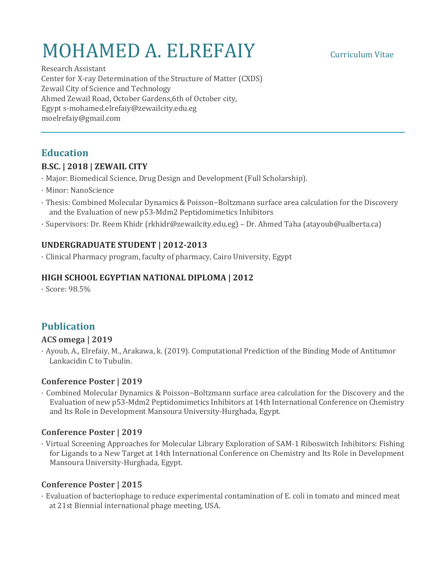# MOHAMED A. ELREFAIY Curriculum Vitae

Research Assistant Center for X-ray Determination of the Structure of Matter (CXDS) Zewail City of Science and Technology Ahmed Zewail Road, October Gardens,6th of October city, Egypt s-mohamed.elrefaiy@zewailcity.edu.eg moelrefaiy@gmail.com

# **Education**

# **B.SC. | 2018 | ZEWAIL CITY**

- · Major: Biomedical Science, Drug Design and Development (Full Scholarship).
- · Minor: NanoScience
- · Thesis: Combined Molecular Dynamics & Poisson−Boltzmann surface area calculation for the Discovery and the Evaluation of new p53-Mdm2 Peptidomimetics Inhibitors
- · Supervisors: Dr. Reem Khidr (rkhidr@zewailcity.edu.eg) Dr. Ahmed Taha (atayoub@ualberta.ca)

# **UNDERGRADUATE STUDENT | 2012-2013**

• Clinical Pharmacy program, faculty of pharmacy, Cairo University, Egypt

#### **HIGH SCHOOL EGYPTIAN NATIONAL DIPLOMA | 2012**

· Score: 98.5% 

# **Publication**

#### **ACS omega | 2019**

· Ayoub, A., Elrefaiy, M., Arakawa, k. (2019). Computational Prediction of the Binding Mode of Antitumor Lankacidin C to Tubulin.

#### **Conference Poster | 2019**

· Combined Molecular Dynamics & Poisson−Boltzmann surface area calculation for the Discovery and the Evaluation of new p53-Mdm2 Peptidomimetics Inhibitors at 14th International Conference on Chemistry and Its Role in Development Mansoura University-Hurghada, Egypt.

#### Conference Poster | 2019

· Virtual Screening Approaches for Molecular Library Exploration of SAM-1 Riboswitch Inhibitors: Fishing for Ligands to a New Target at 14th International Conference on Chemistry and Its Role in Development Mansoura University-Hurghada, Egypt.

#### **Conference Poster | 2015**

· Evaluation of bacteriophage to reduce experimental contamination of E. coli in tomato and minced meat at 21st Biennial international phage meeting, USA.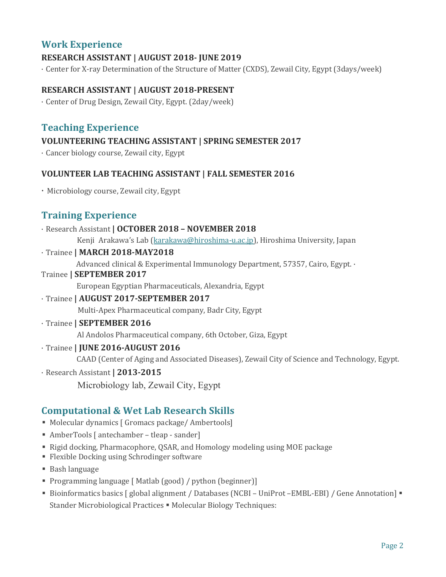# **Work Experience**

# **RESEARCH ASSISTANT | AUGUST 2018- JUNE 2019**

• Center for X-ray Determination of the Structure of Matter (CXDS), Zewail City, Egypt (3days/week)

### **RESEARCH ASSISTANT | AUGUST 2018-PRESENT**

• Center of Drug Design, Zewail City, Egypt. (2day/week)

# **Teaching Experience**

### **VOLUNTEERING TEACHING ASSISTANT | SPRING SEMESTER 2017**

· Cancer biology course, Zewail city, Egypt 

#### **VOLUNTEER LAB TEACHING ASSISTANT | FALL SEMESTER 2016**

• Microbiology course, Zewail city, Egypt

# **Training Experience**

#### · Research Assistant **| OCTOBER 2018 – NOVEMBER 2018**

Kenji Arakawa's Lab (karakawa@hiroshima-u.ac.jp), Hiroshima University, Japan

· Trainee **| MARCH 2018-MAY2018**

Advanced clinical & Experimental Immunology Department, 57357, Cairo, Egypt. ·

#### Trainee **| SEPTEMBER 2017**

 European Egyptian Pharmaceuticals, Alexandria, Egypt 

#### · Trainee **| AUGUST 2017-SEPTEMBER 2017**

Multi-Apex Pharmaceutical company, Badr City, Egypt

#### · Trainee **| SEPTEMBER 2016**

Al Andolos Pharmaceutical company, 6th October, Giza, Egypt

#### · Trainee **| JUNE 2016-AUGUST 2016**

CAAD (Center of Aging and Associated Diseases), Zewail City of Science and Technology, Egypt.

· Research Assistant **| 2013-2015**

Microbiology lab, Zewail City, Egypt

# **Computational & Wet Lab Research Skills**

- Molecular dynamics [ Gromacs package/ Ambertools]
- AmberTools [ antechamber tleap sander]
- Rigid docking, Pharmacophore, QSAR, and Homology modeling using MOE package
- Flexible Docking using Schrodinger software
- Bash language
- Programming language [ Matlab (good) / python (beginner)]
- Bioinformatics basics [ global alignment / Databases (NCBI UniProt –EMBL-EBI) / Gene Annotation] Stander Microbiological Practices • Molecular Biology Techniques: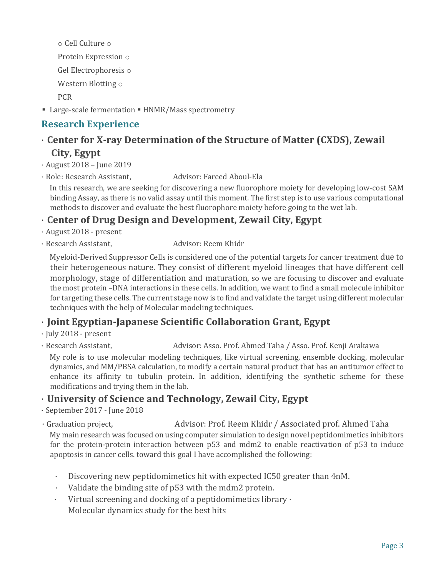o Cell Culture o Protein Expression  $\circ$ Gel Electrophoresis o Western Blotting o PCR 

■ Large-scale fermentation ■ HNMR/Mass spectrometry

# **Research Experience**

# **Center for X-ray Determination of the Structure of Matter (CXDS), Zewail City, Egypt**

 $\cdot$  August 2018 – June 2019

· Role: Research Assistant, Advisor: Fareed Aboul-Ela

In this research, we are seeking for discovering a new fluorophore moiety for developing low-cost SAM binding Assay, as there is no valid assay until this moment. The first step is to use various computational methods to discover and evaluate the best fluorophore moiety before going to the wet lab.

# · **Center of Drug Design and Development, Zewail City, Egypt**

- · August 2018 present
- · Research Assistant, **Advisor:** Reem Khidr

Myeloid-Derived Suppressor Cells is considered one of the potential targets for cancer treatment due to their heterogeneous nature. They consist of different myeloid lineages that have different cell morphology, stage of differentiation and maturation, so we are focusing to discover and evaluate the most protein -DNA interactions in these cells. In addition, we want to find a small molecule inhibitor for targeting these cells. The current stage now is to find and validate the target using different molecular techniques with the help of Molecular modeling techniques.

# · **Joint Egyptian-Japanese Scientific Collaboration Grant, Egypt**

 $\cdot$  July 2018 - present

· Research Assistant, The Multimateury Advisor: Asso. Prof. Ahmed Taha / Asso. Prof. Kenji Arakawa

My role is to use molecular modeling techniques, like virtual screening, ensemble docking, molecular dynamics, and MM/PBSA calculation, to modify a certain natural product that has an antitumor effect to enhance its affinity to tubulin protein. In addition, identifying the synthetic scheme for these modifications and trying them in the lab.

# · **University of Science and Technology, Zewail City, Egypt**

 $\cdot$  September 2017 - June 2018

• Graduation project, The Multisor: Prof. Reem Khidr / Associated prof. Ahmed Taha My main research was focused on using computer simulation to design novel peptidomimetics inhibitors for the protein-protein interaction between p53 and mdm2 to enable reactivation of p53 to induce apoptosis in cancer cells. toward this goal I have accomplished the following:

- Discovering new peptidomimetics hit with expected IC50 greater than 4nM.
- Validate the binding site of p53 with the mdm2 protein.
- Virtual screening and docking of a peptidomimetics library  $\cdot$ Molecular dynamics study for the best hits